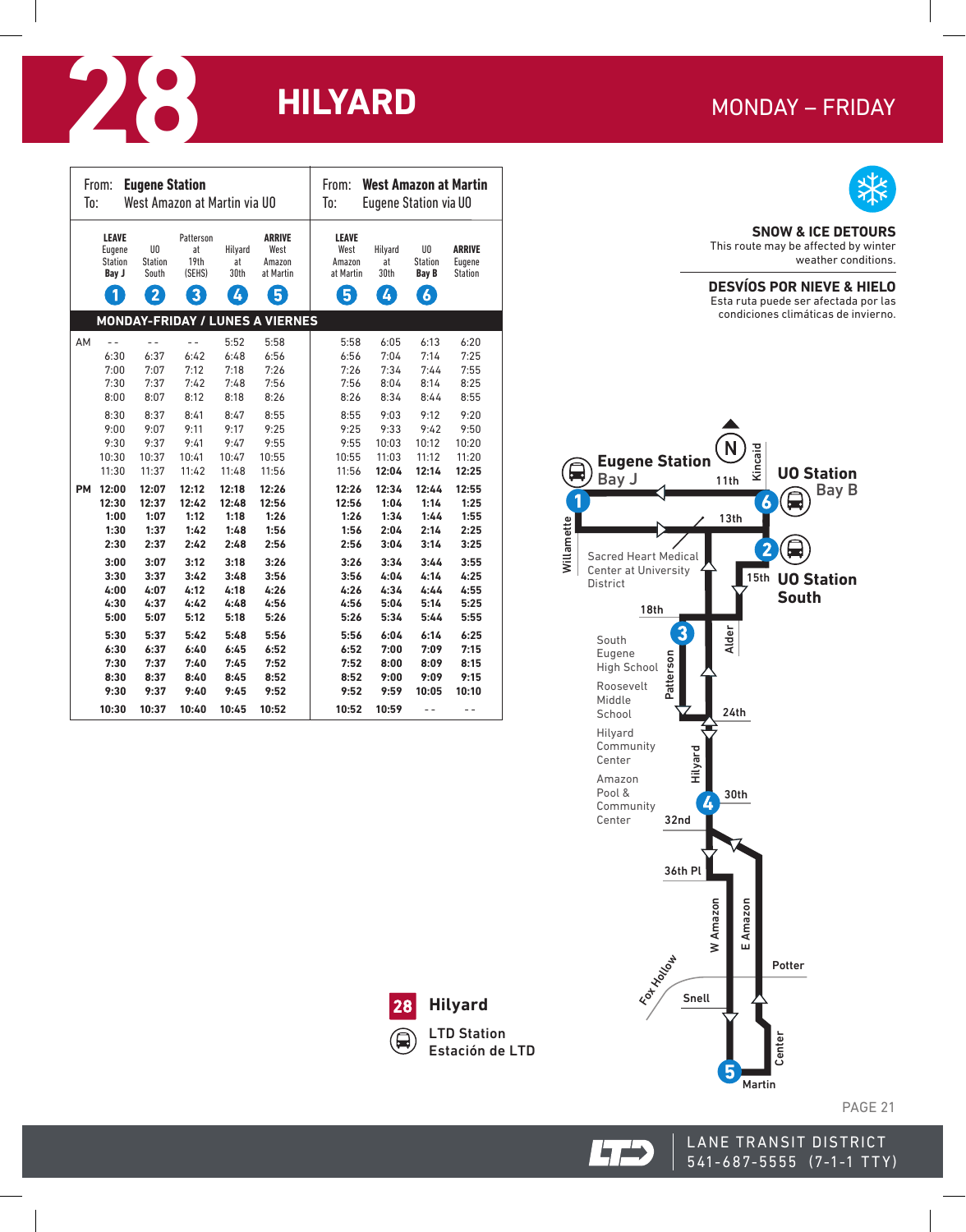# **MONDAY - FRIDAY**



### **SNOW & ICE DETOURS**

This route may be affected by winter weather conditions.

## **DESVÍOS POR NIEVE & HIELO**

Esta ruta puede ser afectada por las condiciones climáticas de invierno.



| To:       | From:                                           | <b>Eugene Station</b>                                     | West Amazon at Martin via UO           |                            |                                                                | From:<br>To:                                            | <b>West Amazon at Martin</b><br><b>Eugene Station via UO</b> |                                                          |                                    |
|-----------|-------------------------------------------------|-----------------------------------------------------------|----------------------------------------|----------------------------|----------------------------------------------------------------|---------------------------------------------------------|--------------------------------------------------------------|----------------------------------------------------------|------------------------------------|
|           | <b>LEAVE</b><br>Eugene<br>Station<br>Bay J<br>1 | U <sub>0</sub><br><b>Station</b><br>South<br>$\mathbf{2}$ | Patterson<br>at<br>19th<br>(SEHS)<br>8 | Hilyard<br>at<br>30th<br>4 | <b>ARRIVE</b><br>West<br>Amazon<br>at Martin<br>$\overline{5}$ | <b>LEAVE</b><br>West<br>Amazon<br>at Martin<br>$\bm{5}$ | Hilyard<br>at<br>30th<br>$\boldsymbol{I}$                    | UO<br><b>Station</b><br><b>Bay B</b><br>$\boldsymbol{6}$ | <b>ARRIVE</b><br>Eugene<br>Station |
|           |                                                 |                                                           |                                        |                            | <b>MONDAY-FRIDAY / LUNES A VIERNES</b>                         |                                                         |                                                              |                                                          |                                    |
| AM        | $-$                                             | $-$                                                       | $-$                                    | 5:52                       | 5:58                                                           | 5:58                                                    | 6:05                                                         | 6:13                                                     | 6:20                               |
|           | 6:30                                            | 6:37                                                      | 6:42                                   | 6:48                       | 6:56                                                           | 6:56                                                    | 7:04                                                         | 7:14                                                     | 7:25                               |
|           | 7:00                                            | 7:07                                                      | 7:12                                   | 7:18                       | 7:26                                                           | 7:26                                                    | 7:34                                                         | 7:44                                                     | 7:55                               |
|           | 7:30                                            | 7:37                                                      | 7:42                                   | 7:48                       | 7:56                                                           | 7:56                                                    | 8:04                                                         | 8:14                                                     | 8:25                               |
|           | 8:00                                            | 8:07                                                      | 8:12                                   | 8:18                       | 8:26                                                           | 8:26                                                    | 8:34                                                         | 8:44                                                     | 8:55                               |
|           | 8:30                                            | 8:37                                                      | 8:41                                   | 8:47                       | 8:55                                                           | 8:55                                                    | 9:03                                                         | 9:12                                                     | 9:20                               |
|           | 9:00                                            | 9:07                                                      | 9:11                                   | 9:17                       | 9:25                                                           | 9:25                                                    | 9:33                                                         | 9:42                                                     | 9:50                               |
|           | 9:30                                            | 9:37                                                      | 9:41                                   | 9:47                       | 9:55                                                           | 9:55                                                    | 10:03                                                        | 10:12                                                    | 10:20                              |
|           | 10:30                                           | 10:37                                                     | 10:41                                  | 10:47                      | 10:55                                                          | 10:55                                                   | 11:03                                                        | 11:12                                                    | 11:20                              |
|           | 11:30                                           | 11:37                                                     | 11:42                                  | 11:48                      | 11:56                                                          | 11:56                                                   | 12:04                                                        | 12:14                                                    | 12:25                              |
| <b>PM</b> | 12:00                                           | 12:07                                                     | 12:12                                  | 12:18                      | 12:26                                                          | 12:26                                                   | 12:34                                                        | 12:44                                                    | 12:55                              |
|           | 12:30                                           | 12:37                                                     | 12:42                                  | 12:48                      | 12:56                                                          | 12:56                                                   | 1:04                                                         | 1:14                                                     | 1:25                               |
|           | 1:00                                            | 1:07                                                      | 1:12                                   | 1:18                       | 1:26                                                           | 1:26                                                    | 1:34                                                         | 1:44                                                     | 1:55                               |
|           | 1:30                                            | 1:37                                                      | 1:42                                   | 1:48                       | 1:56                                                           | 1:56                                                    | 2:04                                                         | 2:14                                                     | 2:25                               |
|           | 2:30                                            | 2:37                                                      | 2:42                                   | 2:48                       | 2:56                                                           | 2:56                                                    | 3:04                                                         | 3:14                                                     | 3:25                               |
|           | 3:00                                            | 3:07                                                      | 3:12                                   | 3:18                       | 3:26                                                           | 3:26                                                    | 3:34                                                         | 3:44                                                     | 3:55                               |
|           | 3:30                                            | 3:37                                                      | 3:42                                   | 3:48                       | 3:56                                                           | 3:56                                                    | 4:04                                                         | 4:14                                                     | 4:25                               |
|           | 4:00                                            | 4:07                                                      | 4:12                                   | 4:18                       | 4:26                                                           | 4:26                                                    | 4:34                                                         | 4:44                                                     | 4:55                               |
|           | 4:30                                            | 4:37                                                      | 4:42                                   | 4:48                       | 4:56                                                           | 4:56                                                    | 5:04                                                         | 5:14                                                     | 5:25                               |
|           | 5:00                                            | 5:07                                                      | 5:12                                   | 5:18                       | 5:26                                                           | 5:26                                                    | 5:34                                                         | 5:44                                                     | 5:55                               |
|           | 5:30                                            | 5:37                                                      | 5:42                                   | 5:48                       | 5:56                                                           | 5:56                                                    | 6:04                                                         | 6:14                                                     | 6:25                               |
|           | 6:30                                            | 6:37                                                      | 6:40                                   | 6:45                       | 6:52                                                           | 6:52                                                    | 7:00                                                         | 7:09                                                     | 7:15                               |
|           | 7:30                                            | 7:37                                                      | 7:40                                   | 7:45                       | 7:52                                                           | 7:52                                                    | 8:00                                                         | 8:09                                                     | 8:15                               |
|           | 8:30                                            | 8:37                                                      | 8:40                                   | 8:45                       | 8:52                                                           | 8:52                                                    | 9:00                                                         | 9:09                                                     | 9:15                               |
|           | 9:30                                            | 9:37                                                      | 9:40                                   | 9:45                       | 9:52                                                           | 9:52                                                    | 9:59                                                         | 10:05                                                    | 10:10                              |
|           | 10:30                                           | 10:37                                                     | 10:40                                  | 10:45                      | 10:52                                                          | 10:52                                                   | 10:59                                                        | $ -$                                                     | $ -$                               |



**Hilyard** LTD Station Estación de LTD

**LANE TRANSIT DISTRICT** 

KAN  $\epsilon$ 

541-687-5555 (7-1-1 TTY)